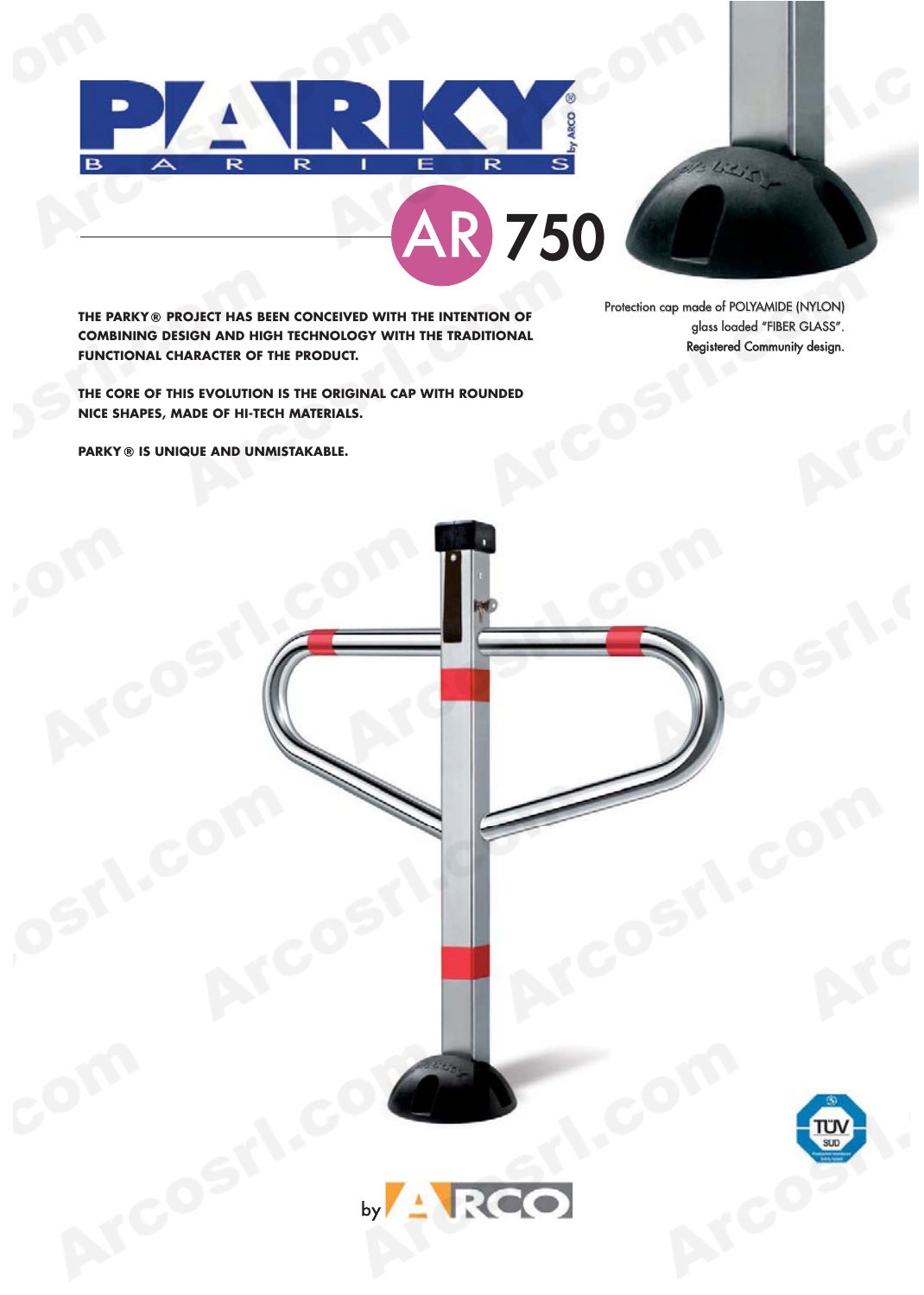





**THE PARKY ® PROJECT HAS BEEN CONCEIVED WITH THE INTENTION OF COMBINING DESIGN AND HIGH TECHNOLOGY WITH THE TRADITIONAL FUNCTIONAL CHARACTER OF THE PRODUCT.**

Protection cap made of POLYAMIDE (NYLON) glass loaded "FIBER GLASS". Registered Community design.

**THE CORE OF THIS EVOLUTION IS THE ORIGINAL CAP WITH ROUNDED NICE SHAPES, MADE OF HI-TECH MATERIALS.**

**PARKY ® IS UNIQUE AND UNMISTAKABLE.**